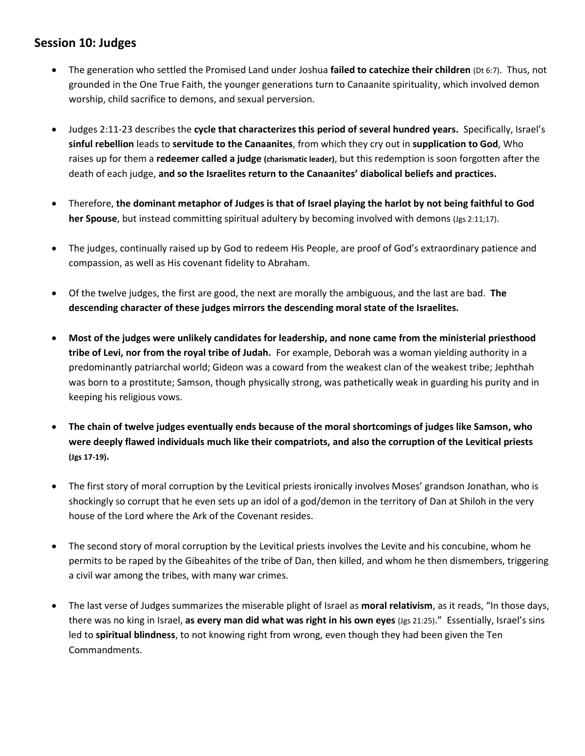## **Session 10: Judges**

- The generation who settled the Promised Land under Joshua **failed to catechize their children** (Dt 6:7). Thus, not grounded in the One True Faith, the younger generations turn to Canaanite spirituality, which involved demon worship, child sacrifice to demons, and sexual perversion.
- Judges 2:11-23 describes the **cycle that characterizes this period of several hundred years.** Specifically, Israel's **sinful rebellion** leads to **servitude to the Canaanites**, from which they cry out in **supplication to God**, Who raises up for them a **redeemer called a judge (charismatic leader)**, but this redemption is soon forgotten after the death of each judge, **and so the Israelites return to the Canaanites' diabolical beliefs and practices.**
- Therefore, **the dominant metaphor of Judges is that of Israel playing the harlot by not being faithful to God her Spouse**, but instead committing spiritual adultery by becoming involved with demons (Jgs 2:11;17).
- The judges, continually raised up by God to redeem His People, are proof of God's extraordinary patience and compassion, as well as His covenant fidelity to Abraham.
- Of the twelve judges, the first are good, the next are morally the ambiguous, and the last are bad. **The descending character of these judges mirrors the descending moral state of the Israelites.**
- **Most of the judges were unlikely candidates for leadership, and none came from the ministerial priesthood tribe of Levi, nor from the royal tribe of Judah.** For example, Deborah was a woman yielding authority in a predominantly patriarchal world; Gideon was a coward from the weakest clan of the weakest tribe; Jephthah was born to a prostitute; Samson, though physically strong, was pathetically weak in guarding his purity and in keeping his religious vows.
- **The chain of twelve judges eventually ends because of the moral shortcomings of judges like Samson, who were deeply flawed individuals much like their compatriots, and also the corruption of the Levitical priests (Jgs 17-19).**
- The first story of moral corruption by the Levitical priests ironically involves Moses' grandson Jonathan, who is shockingly so corrupt that he even sets up an idol of a god/demon in the territory of Dan at Shiloh in the very house of the Lord where the Ark of the Covenant resides.
- The second story of moral corruption by the Levitical priests involves the Levite and his concubine, whom he permits to be raped by the Gibeahites of the tribe of Dan, then killed, and whom he then dismembers, triggering a civil war among the tribes, with many war crimes.
- The last verse of Judges summarizes the miserable plight of Israel as **moral relativism**, as it reads, "In those days, there was no king in Israel, **as every man did what was right in his own eyes** (Jgs 21:25)." Essentially, Israel's sins led to **spiritual blindness**, to not knowing right from wrong, even though they had been given the Ten Commandments.